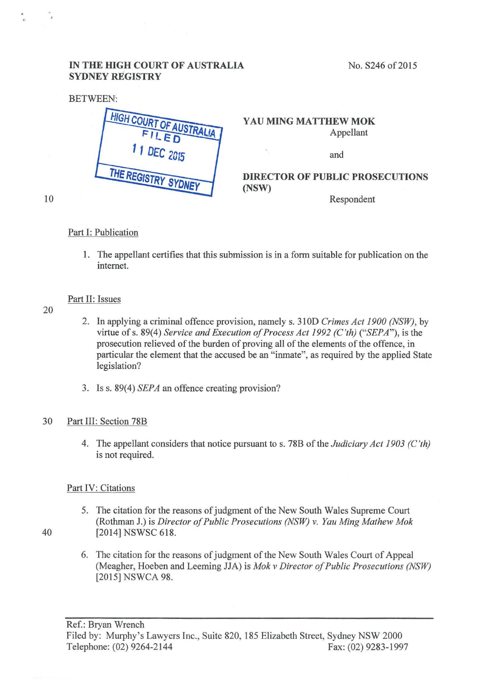# IN THE HIGH COURT OF AUSTRALIA SYDNEY REGISTRY

No. S246 of 2015



Part I: Publication

1. The appellant certifies that this submission is in a form suitable for publication on the internet.

## Part II: Issues

20

10

- 2. In applying a criminal offence provision, namely s. 31 OD *Crimes Act 1900 (NSW),* by virtue of s. 89(4) *Service and Execution of Process Act 1992 (C'th)* ("*SEPA*"), is the prosecution relieved of the burden of proving all of the elements of the offence, in particular the element that the accused be an "inmate", as required by the applied State legislation?
- 3. Iss. 89(4) *SEPA* an offence creating provision?

## 30 Part III: Section 78B

4. The appellant considers that notice pursuant to s. 78B of the *Judiciary Act 1903 (C 'th)*  is not required.

## Part IV: Citations

- 5. The citation for the reasons of judgment of the New South Wales Supreme Court (Rothman J.) is *Director of Public Prosecutions (NSW) v. Yau Ming Mathew Mok*  40 (2014] NSWSC 618.
	- 6. The citation for the reasons of judgment of the New South Wales Court of Appeal (Meagher, Hoeben and Leeming JJA) is *Mok v Director of Public Prosecutions (NSW)* [2015] NSWCA 98.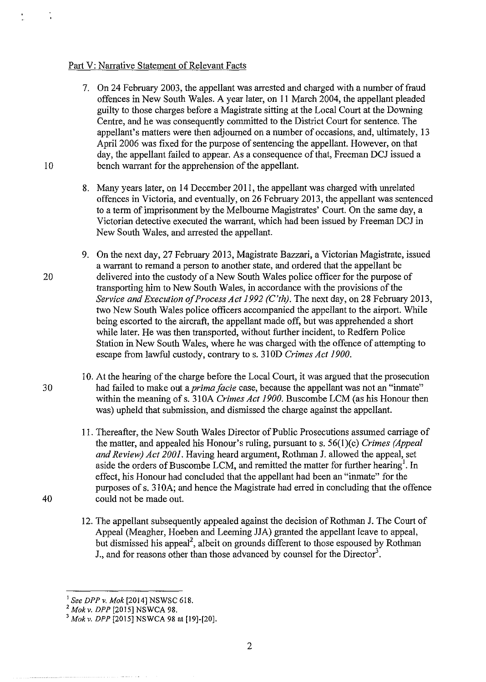#### Part V: Narrative Statement of Relevant Facts

- 7. On 24 February 2003, the appellant was arrested and charged with a number of fraud offences in New South Wales. A year later, on 11 March 2004, the appellant pleaded guilty to those charges before a Magistrate sitting at the Local Court at the Downing Centre, and he was consequently committed to the District Court for sentence. The appellant's matters were then adjourned on a number of occasions, and, ultimately, 13 April 2006 was fixed for the purpose of sentencing the appellant. However, on that day, the appellant failed to appear. As a consequence of that, Freeman DCJ issued a 10 bench warrant for the apprehension of the appellant.
	- 8. Many years later, on 14 December 2011, the appellant was charged with unrelated offences in Victoria, and eventually, on 26 February 2013, the appellant was sentenced to a term of imprisonment by the Melbourne Magistrates' Court. On the same day, a Victorian detective executed the warrant, which had been issued by Freeman DCJ in New South Wales, and arrested the appellant.
- 9. On the next day, 27 February 2013, Magistrate Bazzari, a Victorian Magistrate, issued a warrant to remand a person to another state, and ordered that the appellant be 20 delivered into the custody of a New South Wales police officer for the purpose of transporting him to New South Wales, in accordance with the provisions of the *Service and Execution of Process Act 1992 (C'th).* The next day, on 28 February 2013, two New South Wales police officers accompanied the appellant to the airport. While being escorted to the aircraft, the appellant made off, but was apprehended a short while later. He was then transported, without further incident, to Redfern Police Station in New South Wales, where he was charged with the offence of attempting to escape from lawful custody, contrary to s. 310D *Crimes Act 1900.*
- 10. At the hearing of the charge before the Local Court, it was argued that the prosecution 30 had failed to make out a *prima facie* case, because the appellant was not an "inmate" within the meaning of s. 310A *Crimes Act 1900*. Buscombe LCM (as his Honour then was) upheld that submission, and dismissed the charge against the appellant.
- 11. Thereafter, the New South Wales Director of Public Prosecutions assumed carriage of the matter, and appealed his Honour's ruling, pursuant to s. 56(1)(c) *Crimes (Appeal and Review) Act 2001.* Having heard argument, Rothman J. allowed the appeal, set aside the orders of Buscombe LCM, and remitted the matter for further hearing<sup>1</sup>. In effect, his Honour had concluded that the appellant had been an "inmate" for the purposes of s. 31 OA; and hence the Magistrate had erred in concluding that the offence 40 could not be made out.
	- 12. The appellant subsequently appealed against the decision of Rothman J. The Court of Appeal (Meagher, Hoeben and Leeming JJA) granted the appellant leave to appeal, but dismissed his appeal<sup>2</sup>, albeit on grounds different to those espoused by Rothman J., and for reasons other than those advanced by counsel for the Director<sup>3</sup>.

<sup>&</sup>lt;sup>1</sup> See DPP v. Mok [2014] NSWSC 618.<br><sup>2</sup> Mok v. DPP [2015] NSWCA 98.<br><sup>3</sup> Mok v. DPP [2015] NSWCA 98 at [19]-[20].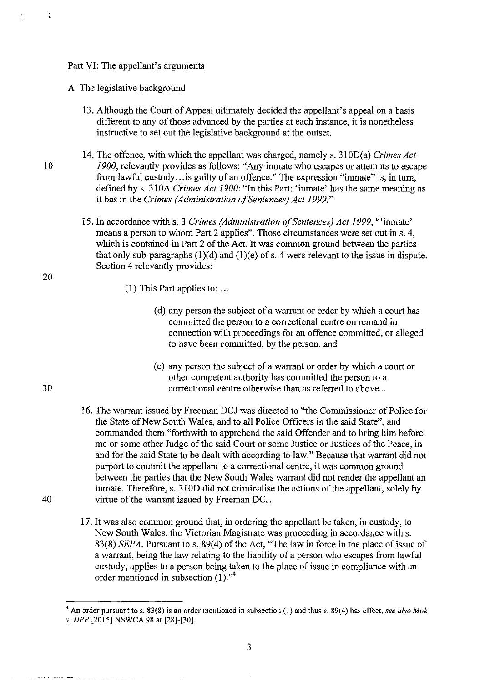#### Part VI: The appellant's arguments

A. The legislative background

- 13. Although the Court of Appeal ultimately decided the appellant's appeal on a basis different to any of those advanced by the parties at each instance, it is nonetheless instructive to set out the legislative background at the outset.
- 14. The offence, with which the appellant was charged, namely s. 310D(a) *Crimes Act*  10 1900, relevantly provides as follows: "Any inmate who escapes or attempts to escape from lawful custody... is guilty of an offence." The expression "inmate" is, in turn, defined by s. 31 OA *Crimes Act 1900:* "In this Part: 'inmate' has the same meaning as it has in the *Crimes (Administration of Sentences) Act 1999."* 
	- 15. In accordance with s. 3 *Crimes (Administration of Sentences) Act 1999,* '"inmate' means a person to whom Part 2 applies". Those circumstances were set out ins. 4, which is contained in Part 2 of the Act. It was common ground between the parties that only sub-paragraphs  $(1)(d)$  and  $(1)(e)$  of s. 4 were relevant to the issue in dispute. Section 4 relevantly provides:
		- (I) This Part applies to: ...
			- (d) any person the subject of a warrant or order by which a court has committed the person to a correctional centre on remand in connection with proceedings for an offence committed, or alleged to have been committed, by the person, and
- (e) any person the subject of a warrant or order by which a court or other competent authority has committed the person to a 30 correctional centre otherwise than as referred to above ...
- 16. The warrant issued by Freeman DCJ was directed to "the Commissioner of Police for the State of New South Wales, and to all Police Officers in the said State", and commanded them "forthwith to apprehend the said Offender and to bring him before me or some other Judge of the said Court or some Justice or Justices of the Peace, in and for the said State to be dealt with according to law." Because that warrant did not purport to commit the appellant to a correctional centre, it was common ground between the parties that the New South Wales warrant did not render the appellant an inmate. Therefore, s. 31 OD did not criminalise the actions of the appellant, solely by 40 virtue of the warrant issued by Freeman DCJ.
	- 17. It was also common ground that, in ordering the appellant be taken, in custody, to New South Wales, the Victorian Magistrate was proceeding in accordance with s. 83(8) *SEPA.* Pursuant to s. 89(4) of the Act, "The law in force in the place of issue of a warrant, being the law relating to the liability of a person who escapes from lawful custody, applies to a person being taken to the place of issue in compliance with an order mentioned in subsection (1)."<sup>4</sup>

 $\frac{1}{3}$ 

20

<sup>&</sup>lt;sup>4</sup> An order pursuant to s. 83(8) is an order mentioned in subsection (1) and thus s. 89(4) has effect, *see also Mok v. DPP* [2015] NSWCA 98 at [28]-[30].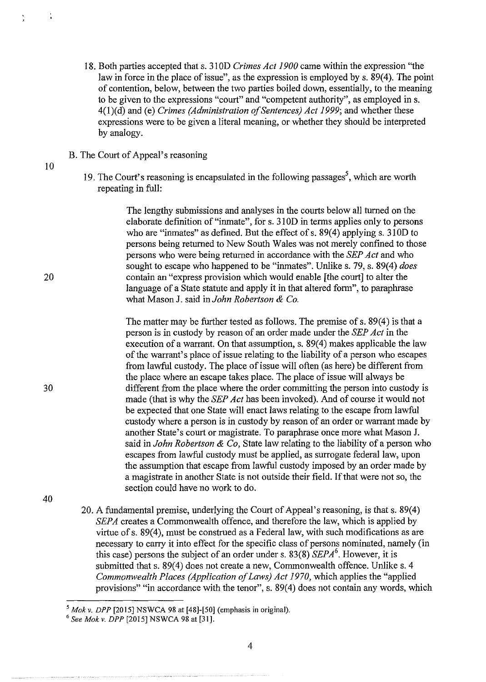- 18. Both parties accepted that s. 31 OD *Crimes Act 1900* came within the expression "the law in force in the place of issue", as the expression is employed by s. 89(4). The point of contention, below, between the two parties boiled down, essentially, to the meaning to be given to the expressions "court" and "competent authority", as employed ins. 4(I)(d) and (e) *Crimes (Administration of Sentences) Act 1999;* and whether these expressions were to be given a literal meaning, or whether they should be interpreted by analogy.
- B. The Court of Appeal's reasoning
- 10

 $\ddot{\cdot}$ 

20

19. The Court's reasoning is encapsulated in the following passages<sup>5</sup>, which are worth repeating in full:

> The lengthy submissions and analyses in the courts below all turned on the elaborate definition of"inmate", for s. 310D in terms applies only to persons who are "inmates" as defined. But the effect of s.  $89(4)$  applying s. 310D to persons being returned to New South Wales was not merely confmed to those persons who were being returned in accordance with the *SEP Act* and who sought to escape who happened to be "inmates". Unlike s. 79, s. 89(4) *does*  contain an "express provision which would enable [the court] to alter the language of a State statute and apply it in that altered form", to paraphrase what Mason J. said in *John Robertson* & *Co.*

The matter may be further tested as follows. The premise of s. 89(4) is that a person is in custody by reason of an order made under the *SEP Act* in the execution of a warrant. On that assumption, s. 89(4) makes applicable the law of the warrant's place of issue relating to the liability of a person who escapes from lawful custody. The place of issue will often (as here) be different from the place where an escape takes place. The place of issue will always be different from the place where the order committing the person into custody is made (that is why the *SEP Act* has been invoked). And of course it would not be expected that one State will enact laws relating to the escape from lawful custody where a person is in custody by reason of an order or warrant made by another State's court or magistrate. To paraphrase once more what Mason J. said in *John Robertson* & *Co,* State law relating to the liability of a person who escapes from lawful custody must be applied, as surrogate federal law, upon the assumption that escape from lawful custody imposed by an order made by a magistrate in another State is not outside their field. If that were not so, the section could have no work to do.

40

30

20. A fundamental premise, underlying the Court of Appeal's reasoning, is that s. 89(4) *SEPA* creates a Commonwealth offence, and therefore the law, which is applied by virtue ofs. 89(4), must be construed as a Federal law, with such modifications as are necessary to carry it into effect for the specific class of persons nominated, namely (in this case) persons the subject of an order under s.  $83(8)$  *SEPA*<sup>6</sup>. However, it is submitted that s. 89(4) does not create a new, Commonwealth offence. Unlike s. 4 *Commonwealth Places (Application of Laws) Act 1970,* which applies the "applied provisions" "in accordance with the tenor", s. 89(4) does not contain any words, which

*<sup>5</sup> Mokv. DPP* [2015] NSWCA 98 at [48)-[50) (emphasis in original). 6 *See Mok v. DPP* [2015] NSWCA 98 at [31).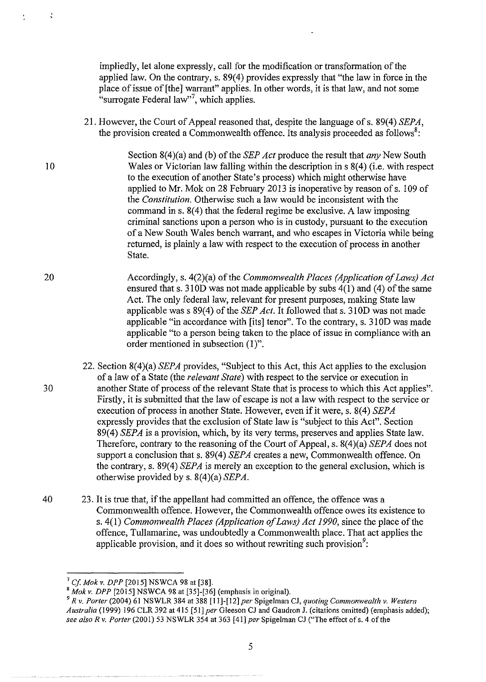impliedly, let alone expressly, call for the modification or transformation of the applied law. On the contrary, s. 89(4) provides expressly that "the law in force in the place of issue of [the] warrant" applies. In other words, it is that law, and not some "surrogate Federal law"<sup>7</sup>, which applies.

21. However, the Court of Appeal reasoned that, despite the language of s. 89(4) *SEPA*, the provision created a Commonwealth offence. Its analysis proceeded as follows<sup>8</sup>:

Section 8(4)(a) and (b) of the *SEP Act* produce the result that *any* New South 10 Wales or Victorian law falling within the description in s 8(4) (i.e. with respect to the execution of another State's process) which might otherwise have applied to Mr. Mok on 28 February 2013 is inoperative by reason of s. 109 of the *Constitution.* Otherwise such a law would be inconsistent with the command ins. 8(4) that the federal regime be exclusive. A law imposing criminal sanctions upon a person who is in custody, pursuant to the execution of a New South Wales bench warrant, and who escapes in Victoria while being returned, is plainly a law with respect to the execution of process in another State.

20 Accordingly, s. 4(2)(a) of the *Commonwealth Places (Application of Laws) Act*  ensured that s. 310D was not made applicable by subs 4(1) and (4) of the same Act. The only federal law, relevant for present purposes, making State law applicable was s 89(4) of the *SEP Act*. It followed that s. 310D was not made applicable "in accordance with [its] tenor". To the contrary, s. 310D was made applicable "to a person being taken to the place of issue in compliance with an order mentioned in subsection (I)".

22. Section 8(4)(a) *SEPA* provides, "Subject to this Act, this Act applies to the exclusion of a law of a State (the *relevant State)* with respect to the service or execution in 30 another State of process of the relevant State that is process to which this Act applies". Firstly, it is submitted that the law of escape is not a law with respect to the service or execution of process in another State. However, even if it were, s. 8(4) *SEPA* expressly provides that the exclusion of State law is "subject to this Act". Section 89(4) *SEPA* is a provision, which, by its very terms, preserves and applies State law. Therefore, contrary to the reasoning of the Court of Appeal, s. 8(4)(a) *SEPA* does not support a conclusion that s. 89(4) *SEPA* creates a new, Commonwealth offence. On the contrary, s. 89(4) *SEPA* is merely an exception to the general exclusion, which is otherwise provided by s. 8(4)(a) *SEPA.* 

40 23. It is true that, if the appellant had committed an offence, the offence was a Commonwealth offence. However, the Commonwealth offence owes its existence to s. 4(1) *Commonwealth Places (Application of Laws) Act 1990,* since the place of the offence, Tullamarine, was undoubtedly a Commonwealth place. That act applies the applicable provision, and it does so without rewriting such provision<sup>9</sup>:

 $\frac{1}{2}$ 

<sup>7</sup>*Cf Mokv. DPP* [2015] NSWCA 98 at [38].

<sup>8</sup>*Mokv. DPP* [2015] NSWCA 98 at [35]-[36] (emphasis in original).

<sup>9</sup>*R v. Porter* (2004) 61 NSWLR 384 at 388 [11]-[12] *per* Spigelman CJ, *quoting Commonwealth v. Western Australia* (1999) 196 CLR 392 at 415 [51] *per* Gleeson CJ and Gaudron J. (citations omitted) (emphasis added); see also R v. Porter (2001) 53 NSWLR 354 at 363 [41] *per* Spigelman CJ ("The effect of s. 4 of the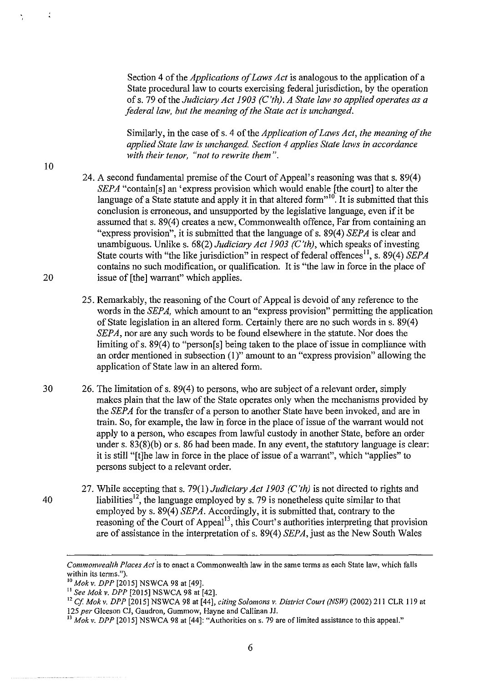Section 4 of the *Applications of Laws Act* is analogous to the application of a State procedural law to courts exercising federal jurisdiction, by the operation of s. 79 of the *Judiciary Act 1903 (C 'th). A State law so applied operates as a federal law, but the meaning of the State act is unchanged.* 

Similarly, in the case of s. 4 of the *Application of Laws Act, the meaning of the applied State law is unchanged. Section 4 applies State laws in accordance with their tenor, "not to rewrite them".* 

- 24. A second fundamental premise of the Comt of Appeal's reasoning was that s. 89(4) *SEPA* "contain[s] an 'express provision which would enable [the court] to alter the language of a State statute and apply it in that altered form"<sup>10</sup>. It is submitted that this conclusion is erroneous, and unsupported by the legislative language, even if it be assumed that s. 89(4) creates a new, Commonwealth offence, Far from containing an "express provision", it is submitted that the language of s. 89(4) *SEPA* is clear and unambiguous. Unlike s. 68(2) *Judiciary Act 1903 (C 'th),* which speaks of investing State courts with "the like jurisdiction" in respect of federal offences<sup>11</sup>, s. 89(4) *SEPA* contains no such modification, or qualification. It is "the law in force in the place of 20 issue of [the] warrant" which applies.
	- 25. Remarkably, the reasoning of the Court of Appeal is devoid of any reference to the words in the *SEPA*, which amount to an "express provision" permitting the application of State legislation in an altered form. Certainly there are no such words in s. 89( 4) *SEPA,* nor are any such words to be found elsewhere in the statute. Nor does the limiting of s. 89(4) to "person[s] being taken to the place of issue in compliance with an order mentioned in subsection (I)" amount to an "express provision" allowing the application of State law in an altered form.
- 30 26. The limitation ofs. 89(4) to persons, who are subject of a relevant order, simply makes plain that the law of the State operates only when the mechanisms provided by the *SEPA* for the transfer of a person to another State have been invoked, and are in train. So, for example, the law in force in the place of issue of the warrant would not apply to a person, who escapes from lawful custody in another State, before an order under s. 83(8)(b) or s. 86 had been made. In any event, the statutory language is clear: it is still "[t]he law in force in the place of issue of a warrant", which "applies" to persons subject to a relevant order.
- 27. While accepting that s. 79(1) *Judiciary Act 1903 (C'th)* is not directed to rights and 40 Iiabilities<sup>12</sup>, the language employed by s. 79 is nonetheless quite similar to that employed by s. 89(4) *SEPA.* Accordingly, it is submitted that, contrary to the reasoning of the Court of Appeal<sup>13</sup>, this Court's authorities interpreting that provision are of assistance in the interpretation of s. 89(4) *SEPA*, just as the New South Wales

 $\frac{1}{2}$ 

*Commonwealth Places Act* is *to* enact a Commonwealth law in the same terms as each State law, which falls **within its terms.").**<br><sup>10</sup> *Mok v. DPP* [2015] NSWCA 98 at [49].<br><sup>11</sup> *See Mok v. DPP* [2015] NSWCA 98 at [42].

<sup>&</sup>lt;sup>12</sup> Cf. Mok v. DPP [2015] NSWCA 98 at [44], *citing Solomons v. District Court (NSW)* (2002) 211 CLR 119 at 125 per Gleeson CJ, Gaudron, Gummow, Hayne and Callinan JJ.<br><sup>13</sup> Mok v. DPP [2015] NSWCA 98 at [44]: "Authorities on s. 79 are of limited assistance to this appeal."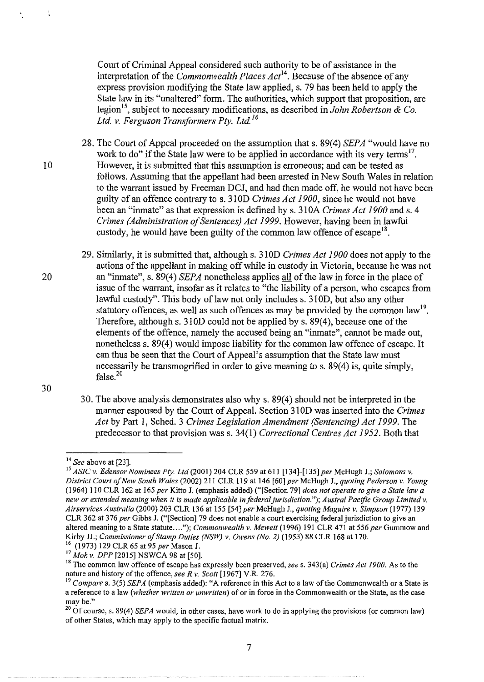Court of Criminal Appeal considered such authority to be of assistance in the interpretation of the *Commonwealth Places Act*<sup>14</sup>. Because of the absence of any express provision modifying the State law applied, s. 79 has been held to apply the State law in its "unaltered" form. The authorities, which support that proposition, are legion15, subject to necessary modifications, as described in *John Robertson* & *Co. Ltd v. Ferguson Transformers Pty. Ltd* <sup>16</sup>

28. The Court of Appeal proceeded on the assumption that s. 89(4) *SEPA* "would have no work to do" if the State law were to be applied in accordance with its very terms<sup>17</sup>. 10 However, it is submitted that this assumption is erroneous; and can be tested as follows. Assuming that the appellant had been arrested in New South Wales in relation to the warrant issued by Freeman DCJ, and had then made off, he would not have been guilty of an offence contrary to s. 31 OD *Crimes Act 1900,* since he would not have been an "inmate" as that expression is defined by s. 31 OA *Crimes Act 1900* and s. 4 *Crimes (Administration of Sentences) Act 1999.* However, having been in lawful custody, he would have been guilty of the common law offence of escape<sup>18</sup>.

29. Similarly, it is submitted that, although s. 310D *Crimes Act 1900* does not apply to the actions of the appellant in making off while in custody in Victoria, because he was not 20 an "inmate", s. 89(4) *SEPA* nonetheless applies all of the law in force in the place of issue of the warrant, insofar as it relates to "the liability of a person, who escapes from lawful custody". This body of law not only includes s. 310D, but also any other statutory offences, as well as such offences as may be provided by the common law<sup>19</sup>. Therefore, although s. 310D could not be applied by s. 89(4), because one of the elements of the offence, namely the accused being an "inmate", cannot be made out, nonetheless s. 89(4) would impose liability for the common law offence of escape. It can thus be seen that the Court of Appeal's assumption that the State law must necessarily be transmogrified in order to give meaning to s. 89(4) is, quite simply, false. $20$ 

30

30. The above analysis demonstrates also whys. 89(4) should not be interpreted in the manner espoused by the Court of Appeal. Section 31 OD was inserted into the *Crimes Act* by Part 1, Sched. 3 *Crimes Legislation Amendment (Sentencing) Act 1999.* The predecessor to that provision was s. 34(1) *Correctional Centres Act 1952.* Both that

 $\frac{1}{2}$ 

<sup>&</sup>lt;sup>14</sup> *See* above at [23].<br><sup>15</sup> *ASIC v. Edensor Nominees Pty. Ltd* (2001) 204 CLR 559 at 611 [134]-[135] *per* McHugh J.; *Solomons v. District Court of New South Wales (2002) 211 CLR 119 at 146 [60] per McHugh J., <i>quoting Pederson v. Young* (1964) II 0 CLR 162 at 165 *per* Kitto J. (emphasis added) ("[Section 79] *does not operate to give a State law a new or extended meaning when it is made applicable in federal jurisdiction."); Austral Pacific Group Limited v. Airservices Australia* (2000) 203 CLR 136 at 155 [54] *per* McHugh J., *quoting Maguire v. Simpson* (1977) 139 CLR 362 at 376 *per* Gibbs J. ("[Section]79 does not enable a court exercising federal jurisdiction to give an altered meaning to a State statute...."); *Commonwealth v. Mewett* (1996) 191 CLR 471 at 556 *per* Gummow and Kirby JJ.; *Commissioner of Stamp Duties (NSW) v. Owens (No. 2)* (1953) 88 CLR 168 at 170.

<sup>&</sup>lt;sup>16</sup> (1973) 129 CLR 65 at 95 *per* Mason J.<br><sup>17</sup> Mok v. DPP [2015] NSWCA 98 at [50].<br><sup>18</sup> The common law offence of escape has expressly been preserved, *see* s. 343(a) *Crimes Act 1900*. As to the nature and history of the offence, see R v. Scott [1967] V.R. 276.

<sup>&</sup>lt;sup>19</sup> Compare s. 3(5) *SEPA* (emphasis added): "A reference in this Act to a law of the Commonwealth or a State is **a reference to a law** *(whether written or unwritten)* **of or in force in the Commonwealth or the State, as the case** 

**may be."** 20 Of course, s. 89(4) *SEPA* would, in other cases, have work to do in applying the provisions (or common law) of other States, which may apply to the specific factual matrix.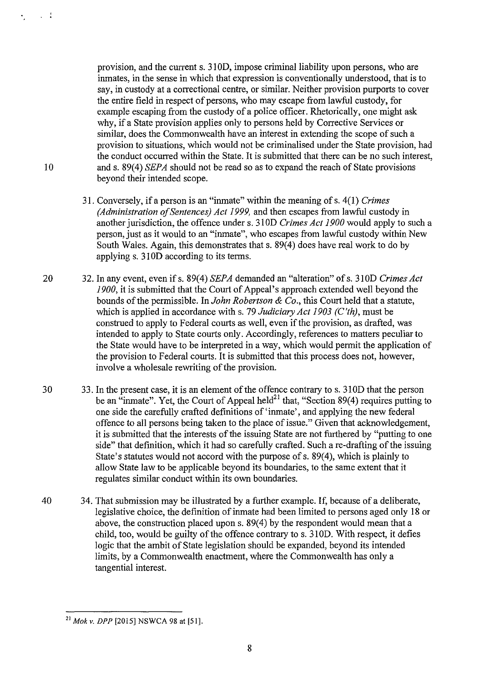provision, and the current s. 310D, impose criminal liability upon persons, who are inmates, in the sense in which that expression is conventionally understood, that is to say, in custody at a correctional centre, or similar. Neither provision purports to cover the entire field in respect of persons, who may escape from lawful custody, for example escaping from the custody of a police officer. Rhetorically, one might ask why, if a State provision applies only to persons held by Corrective Services or similar, does the Commonwealth have an interest in extending the scope of such a provision to situations, which would not be criminalised under the State provision, had the conduct occurred within the State. It is submitted that there can be no such interest, and s. 89(4) *SEPA* should not be read so as to expand the reach of State provisions beyond their intended scope.

- 3 I. Conversely, if a person is an "inmate" within the meaning of s. 4(1) *Crimes (Administration ofSentences) Act 1999,* and then escapes from lawful custody in another jurisdiction, the offence under s. 3 I OD *Crimes Act 1900* would apply to such a person, just as it would to an "inmate", who escapes from lawful custody within New South Wales. Again, this demonstrates that s. 89(4) does have real work to do by applying s. 31 OD according to its terms.
- 20 32. In any event, even if s. 89( 4) *SEP A* demanded an "alteration" of s. 3 I OD *Crimes Act 1900,* it is submitted that the Court of Appeal's approach extended well beyond the bounds of the permissible. In *John Robertson* & *Co.,* this Court held that a statute, which is applied in accordance with s. 79 *Judiciary Act 1903 (C 'th),* must be construed to apply to Federal courts as well, even if the provision, as drafted, was intended to apply to State courts only. Accordingly, references to matters peculiar to the State would have to be interpreted in a way, which would permit the application of the provision to Federal courts. It is submitted that this process does not, however, involve a wholesale rewriting of the provision.
- 30 33. In the present case, it is an element of the offence contrary to s. 3IOD that the person be an "inmate". Yet, the Court of Appeal held<sup>21</sup> that, "Section 89(4) requires putting to one side the carefully crafted definitions of' inmate', and applying the new federal offence to all persons being taken to the place of issue." Given that acknowledgement, it is submitted that the interests of the issuing State are not furthered by "putting to one side" that definition, which it had so carefully crafted. Such a re-drafting of the issuing State's statutes would not accord with the purpose of s. 89(4), which is plainly to allow State law to be applicable beyond its boundaries, to the same extent that it regulates similar conduct within its own boundaries.
- 40 34. That submission may be illustrated by a further example. If, because of a deliberate, legislative choice, the definition of inmate had been limited to persons aged only 18 or above, the construction placed upon s.  $89(4)$  by the respondent would mean that a child, too, would be guilty of the offence contrary to s. 310D. With respect, it defies logic that the ambit of State legislation should be expanded, beyond its intended limits, by a Commonwealth enactment, where the Commonwealth has only a tangential interest.

10

 $\sim 10^{-11}$ 

 $^{21}$  Mok v. DPP [2015] NSWCA 98 at [51].